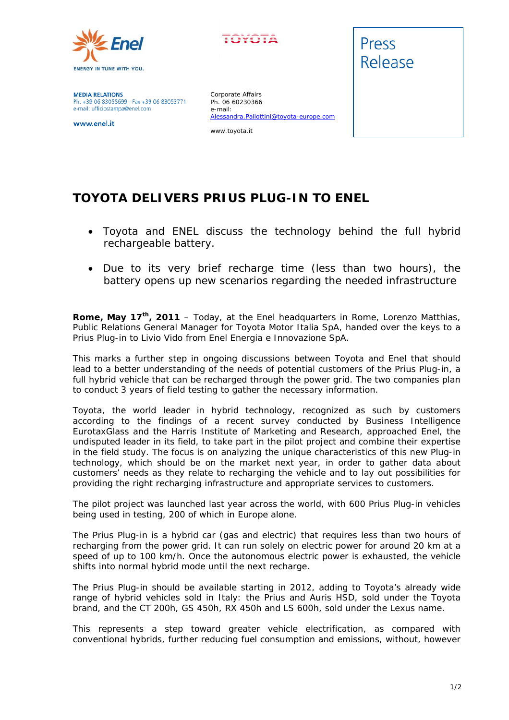



**MEDIA RELATIONS** Ph. +39 06 83055699 - Fax +39 06 83053771 e-mail: ufficiostampa@enel.com

www.enel.it

Corporate Affairs Ph. 06 60230366 e-mail: Alessandra.Pallottini@toyota-europe.com

www.toyota.it



## **TOYOTA DELIVERS PRIUS PLUG-IN TO ENEL**

- *Toyota and ENEL discuss the technology behind the full hybrid rechargeable battery.*
- *Due to its very brief recharge time (less than two hours), the battery opens up new scenarios regarding the needed infrastructure*

**Rome, May 17th, 2011** – Today, at the Enel headquarters in Rome, Lorenzo Matthias, Public Relations General Manager for Toyota Motor Italia SpA, handed over the keys to a Prius Plug-in to Livio Vido from Enel Energia e Innovazione SpA.

This marks a further step in ongoing discussions between Toyota and Enel that should lead to a better understanding of the needs of potential customers of the Prius Plug-in, a full hybrid vehicle that can be recharged through the power grid. The two companies plan to conduct 3 years of field testing to gather the necessary information.

Toyota, the world leader in hybrid technology, recognized as such by customers according to the findings of a recent survey conducted by Business Intelligence EurotaxGlass and the Harris Institute of Marketing and Research, approached Enel, the undisputed leader in its field, to take part in the pilot project and combine their expertise in the field study. The focus is on analyzing the unique characteristics of this new Plug-in technology, which should be on the market next year, in order to gather data about customers' needs as they relate to recharging the vehicle and to lay out possibilities for providing the right recharging infrastructure and appropriate services to customers.

The pilot project was launched last year across the world, with 600 Prius Plug-in vehicles being used in testing, 200 of which in Europe alone.

The Prius Plug-in is a hybrid car (gas and electric) that requires less than two hours of recharging from the power grid. It can run solely on electric power for around 20 km at a speed of up to 100 km/h. Once the autonomous electric power is exhausted, the vehicle shifts into normal hybrid mode until the next recharge.

The Prius Plug-in should be available starting in 2012, adding to Toyota's already wide range of hybrid vehicles sold in Italy: the Prius and Auris HSD, sold under the Toyota brand, and the CT 200h, GS 450h, RX 450h and LS 600h, sold under the Lexus name.

This represents a step toward greater vehicle electrification, as compared with conventional hybrids, further reducing fuel consumption and emissions, without, however